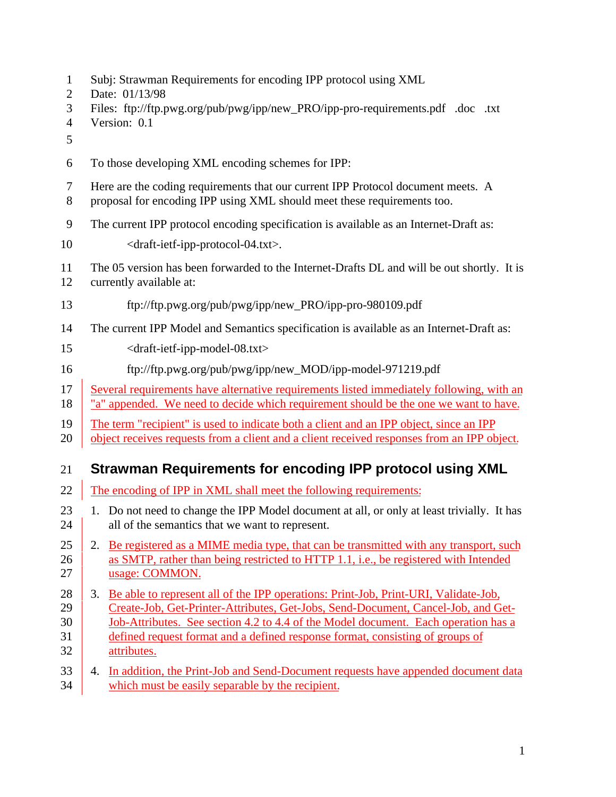- Subj: Strawman Requirements for encoding IPP protocol using XML
- Date: 01/13/98
- Files: ftp://ftp.pwg.org/pub/pwg/ipp/new\_PRO/ipp-pro-requirements.pdf .doc .txt
- Version: 0.1
- 
- To those developing XML encoding schemes for IPP:
- Here are the coding requirements that our current IPP Protocol document meets. A
- proposal for encoding IPP using XML should meet these requirements too.
- The current IPP protocol encoding specification is available as an Internet-Draft as:
- 10 <draft-ietf-ipp-protocol-04.txt>.
- The 05 version has been forwarded to the Internet-Drafts DL and will be out shortly. It is
- currently available at:
- ftp://ftp.pwg.org/pub/pwg/ipp/new\_PRO/ipp-pro-980109.pdf
- The current IPP Model and Semantics specification is available as an Internet-Draft as:
- <draft-ietf-ipp-model-08.txt>
- ftp://ftp.pwg.org/pub/pwg/ipp/new\_MOD/ipp-model-971219.pdf
- Several requirements have alternative requirements listed immediately following, with an
- 18 <u>"a" appended</u>. We need to decide which requirement should be the one we want to have.
- The term "recipient" is used to indicate both a client and an IPP object, since an IPP
- 20 object receives requests from a client and a client received responses from an IPP object.

## **Strawman Requirements for encoding IPP protocol using XML**

- 22 The encoding of IPP in XML shall meet the following requirements:
- 1. Do not need to change the IPP Model document at all, or only at least trivially. It has 24 all of the semantics that we want to represent.
- 25 2. Be registered as a MIME media type, that can be transmitted with any transport, such 26 as SMTP, rather than being restricted to HTTP 1.1, i.e., be registered with Intended 27 usage: COMMON.
- 28 3. Be able to represent all of the IPP operations: Print-Job, Print-URI, Validate-Job, Create-Job, Get-Printer-Attributes, Get-Jobs, Send-Document, Cancel-Job, and Get-
- Job-Attributes. See section 4.2 to 4.4 of the Model document. Each operation has a defined request format and a defined response format, consisting of groups of attributes.
- 33 4. In addition, the Print-Job and Send-Document requests have appended document data 34 which must be easily separable by the recipient.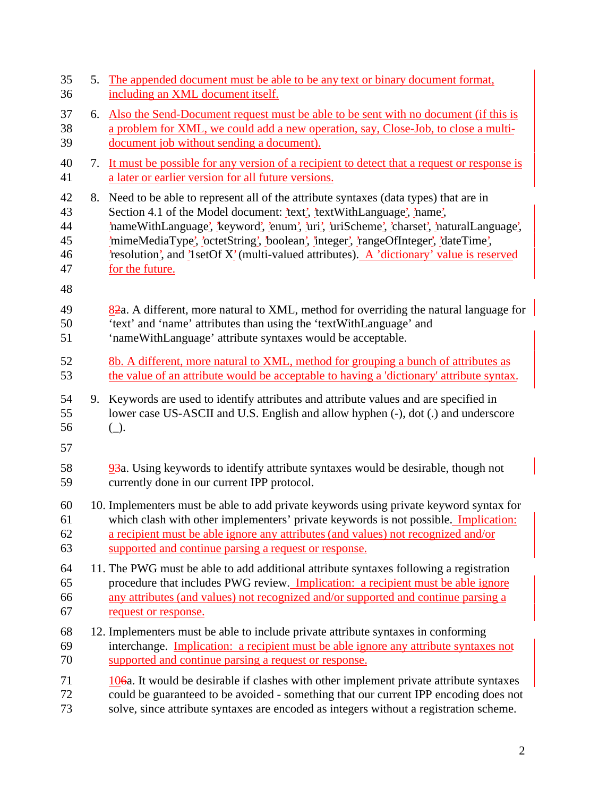| 35<br>36                         |    | 5. The appended document must be able to be any text or binary document format,<br>including an XML document itself.                                                                                                                                                                                                                                                                                                                                              |
|----------------------------------|----|-------------------------------------------------------------------------------------------------------------------------------------------------------------------------------------------------------------------------------------------------------------------------------------------------------------------------------------------------------------------------------------------------------------------------------------------------------------------|
| 37<br>38<br>39                   | 6. | Also the Send-Document request must be able to be sent with no document (if this is<br>a problem for XML, we could add a new operation, say, Close-Job, to close a multi-<br>document job without sending a document).                                                                                                                                                                                                                                            |
| 40<br>41                         | 7. | It must be possible for any version of a recipient to detect that a request or response is<br>a later or earlier version for all future versions.                                                                                                                                                                                                                                                                                                                 |
| 42<br>43<br>44<br>45<br>46<br>47 |    | 8. Need to be able to represent all of the attribute syntaxes (data types) that are in<br>Section 4.1 of the Model document: 'text', 'textWithLanguage', 'name',<br>'nameWithLanguage', 'keyword', 'enum', 'uri', 'uriScheme', 'charset', 'naturalLanguage',<br>'mimeMediaType', 'octetString', 'boolean', 'integer', 'rangeOfInteger', 'dateTime',<br>resolution, and l set Of X' (multi-valued attributes). A 'dictionary' value is reserved<br>for the future. |
| 48<br>49<br>50<br>51             |    | 82a. A different, more natural to XML, method for overriding the natural language for<br>'text' and 'name' attributes than using the 'textWithLanguage' and<br>'nameWithLanguage' attribute syntaxes would be acceptable.                                                                                                                                                                                                                                         |
| 52<br>53                         |    | 8b. A different, more natural to XML, method for grouping a bunch of attributes as<br>the value of an attribute would be acceptable to having a 'dictionary' attribute syntax.                                                                                                                                                                                                                                                                                    |
| 54<br>55<br>56<br>57             |    | 9. Keywords are used to identify attributes and attribute values and are specified in<br>lower case US-ASCII and U.S. English and allow hyphen (-), dot (.) and underscore<br>$(\_)$ .                                                                                                                                                                                                                                                                            |
| 58<br>59                         |    | 93a. Using keywords to identify attribute syntaxes would be desirable, though not<br>currently done in our current IPP protocol.                                                                                                                                                                                                                                                                                                                                  |
| 60<br>61<br>62<br>63             |    | 10. Implementers must be able to add private keywords using private keyword syntax for<br>which clash with other implementers' private keywords is not possible. Implication:<br>a recipient must be able ignore any attributes (and values) not recognized and/or<br>supported and continue parsing a request or response.                                                                                                                                       |
| 64<br>65<br>66<br>67             |    | 11. The PWG must be able to add additional attribute syntaxes following a registration<br>procedure that includes PWG review. Implication: a recipient must be able ignore<br>any attributes (and values) not recognized and/or supported and continue parsing a<br>request or response.                                                                                                                                                                          |
| 68<br>69<br>70                   |    | 12. Implementers must be able to include private attribute syntaxes in conforming<br>interchange. Implication: a recipient must be able ignore any attribute syntaxes not<br>supported and continue parsing a request or response.                                                                                                                                                                                                                                |
| 71<br>72<br>73                   |    | $106a$ . It would be desirable if clashes with other implement private attribute syntaxes<br>could be guaranteed to be avoided - something that our current IPP encoding does not<br>solve, since attribute syntaxes are encoded as integers without a registration scheme.                                                                                                                                                                                       |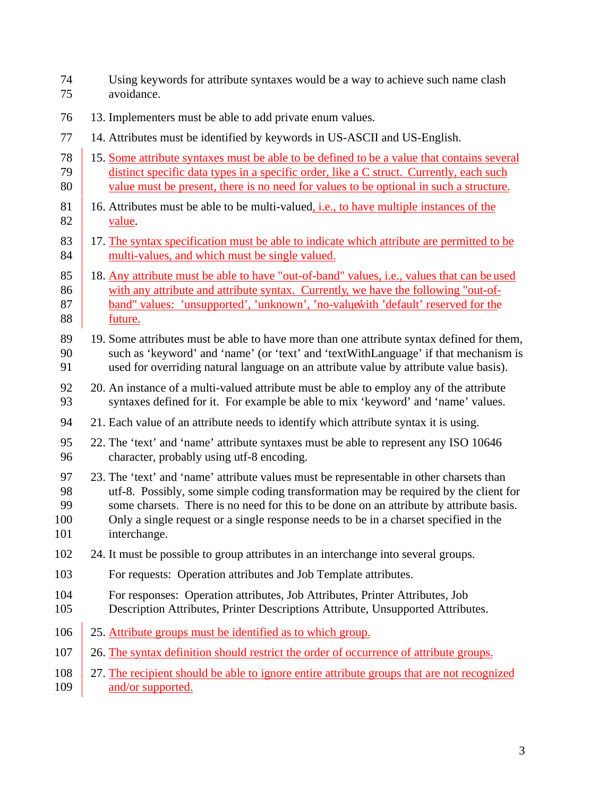- Using keywords for attribute syntaxes would be a way to achieve such name clash avoidance.
- 13. Implementers must be able to add private enum values.
- 14. Attributes must be identified by keywords in US-ASCII and US-English.
- 15. Some attribute syntaxes must be able to be defined to be a value that contains several distinct specific data types in a specific order, like a C struct. Currently, each such 80 value must be present, there is no need for values to be optional in such a structure.
- 81 16. Attributes must be able to be multi-valued, i.e., to have multiple instances of the value.
- 83 17. The syntax specification must be able to indicate which attribute are permitted to be 84 multi-values, and which must be single valued.
- 85 18. Any attribute must be able to have "out-of-band" values, i.e., values that can be used 86 with any attribute and attribute syntax. Currently, we have the following "out-of-87 band" values: 'unsupported', 'unknown', 'no-value with 'default' reserved for the future.
- 89 19. Some attributes must be able to have more than one attribute syntax defined for them, such as 'keyword' and 'name' (or 'text' and 'textWithLanguage' if that mechanism is used for overriding natural language on an attribute value by attribute value basis).
- 20. An instance of a multi-valued attribute must be able to employ any of the attribute syntaxes defined for it. For example be able to mix 'keyword' and 'name' values.
- 21. Each value of an attribute needs to identify which attribute syntax it is using.
- 22. The 'text' and 'name' attribute syntaxes must be able to represent any ISO 10646 character, probably using utf-8 encoding.
- 23. The 'text' and 'name' attribute values must be representable in other charsets than utf-8. Possibly, some simple coding transformation may be required by the client for some charsets. There is no need for this to be done on an attribute by attribute basis. Only a single request or a single response needs to be in a charset specified in the
- interchange.
- 24. It must be possible to group attributes in an interchange into several groups.
- 103 For requests: Operation attributes and Job Template attributes.
- 104 For responses: Operation attributes, Job Attributes, Printer Attributes, Job
- Description Attributes, Printer Descriptions Attribute, Unsupported Attributes.
- 25. Attribute groups must be identified as to which group.
- 107 26. The syntax definition should restrict the order of occurrence of attribute groups.

## 108 27. The recipient should be able to ignore entire attribute groups that are not recognized 109 and/or supported.